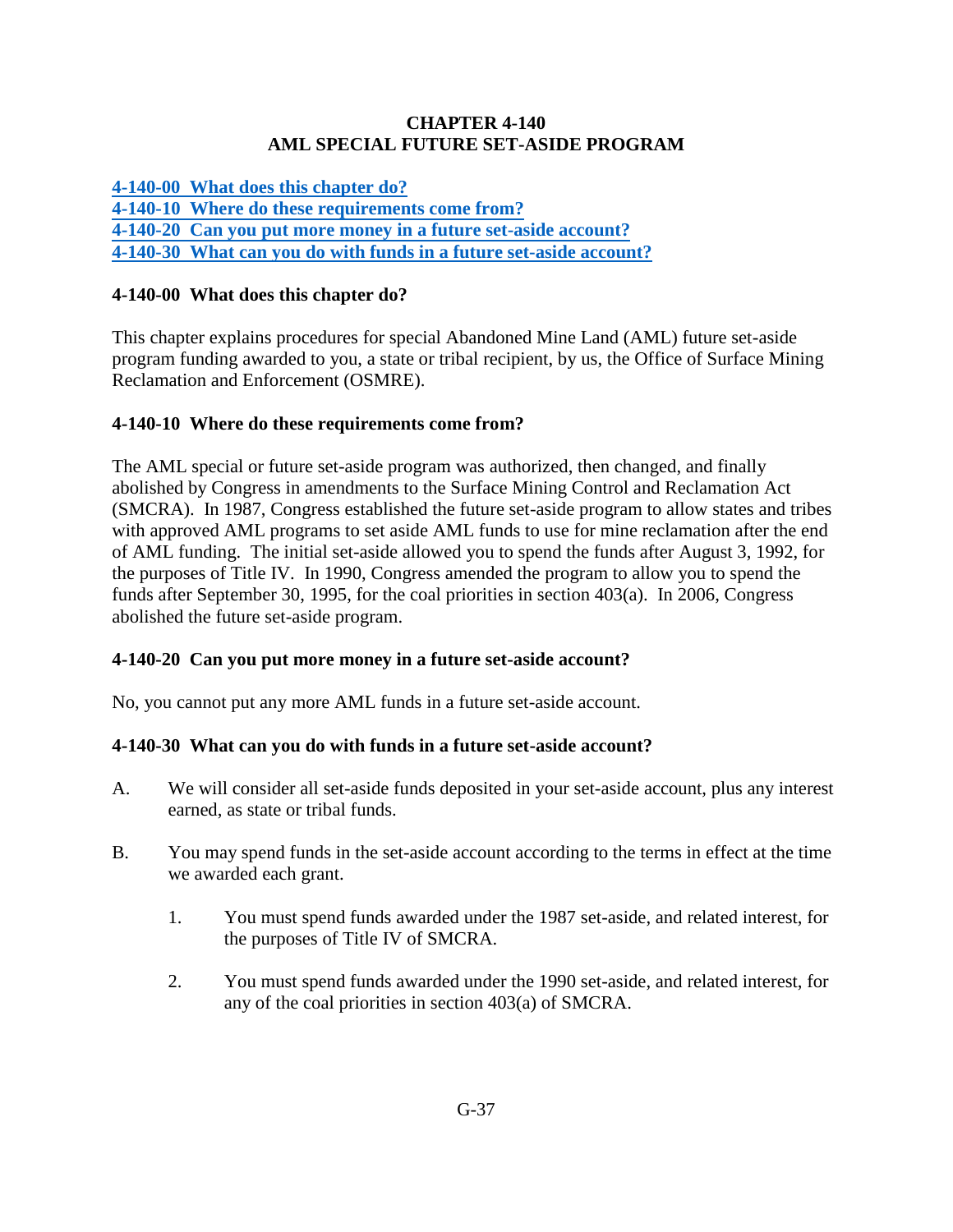#### **CHAPTER 4-140 AML SPECIAL FUTURE SET-ASIDE PROGRAM**

**[4-140-00 What does this chapter do?](#page-0-0)**

**[4-140-10 Where do these requirements come from?](#page-0-1)**

<span id="page-0-0"></span>**[4-140-20 Can you put more money in a future set-aside account?](#page-0-2)**

**[4-140-30 What can you do with funds in a future set-aside account?](#page-0-3)**

### **4-140-00 What does this chapter do?**

This chapter explains procedures for special Abandoned Mine Land (AML) future set-aside program funding awarded to you, a state or tribal recipient, by us, the Office of Surface Mining Reclamation and Enforcement (OSMRE).

# <span id="page-0-1"></span>**4-140-10 Where do these requirements come from?**

The AML special or future set-aside program was authorized, then changed, and finally abolished by Congress in amendments to the Surface Mining Control and Reclamation Act (SMCRA). In 1987, Congress established the future set-aside program to allow states and tribes with approved AML programs to set aside AML funds to use for mine reclamation after the end of AML funding. The initial set-aside allowed you to spend the funds after August 3, 1992, for the purposes of Title IV. In 1990, Congress amended the program to allow you to spend the funds after September 30, 1995, for the coal priorities in section 403(a). In 2006, Congress abolished the future set-aside program.

# <span id="page-0-2"></span>**4-140-20 Can you put more money in a future set-aside account?**

No, you cannot put any more AML funds in a future set-aside account.

#### <span id="page-0-3"></span>**4-140-30 What can you do with funds in a future set-aside account?**

- A. We will consider all set-aside funds deposited in your set-aside account, plus any interest earned, as state or tribal funds.
- B. You may spend funds in the set-aside account according to the terms in effect at the time we awarded each grant.
	- 1. You must spend funds awarded under the 1987 set-aside, and related interest, for the purposes of Title IV of SMCRA.
	- 2. You must spend funds awarded under the 1990 set-aside, and related interest, for any of the coal priorities in section 403(a) of SMCRA.